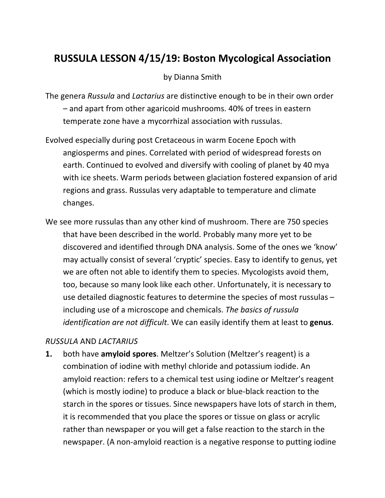# **RUSSULA LESSON 4/15/19: Boston Mycological Association**

### by Dianna Smith

The genera *Russula* and *Lactarius* are distinctive enough to be in their own order – and apart from other agaricoid mushrooms. 40% of trees in eastern temperate zone have a mycorrhizal association with russulas.

- Evolved especially during post Cretaceous in warm Eocene Epoch with angiosperms and pines. Correlated with period of widespread forests on earth. Continued to evolved and diversify with cooling of planet by 40 mya with ice sheets. Warm periods between glaciation fostered expansion of arid regions and grass. Russulas very adaptable to temperature and climate changes.
- We see more russulas than any other kind of mushroom. There are 750 species that have been described in the world. Probably many more yet to be discovered and identified through DNA analysis. Some of the ones we 'know' may actually consist of several 'cryptic' species. Easy to identify to genus, yet we are often not able to identify them to species. Mycologists avoid them, too, because so many look like each other. Unfortunately, it is necessary to use detailed diagnostic features to determine the species of most russulas – including use of a microscope and chemicals. *The basics of russula identification are not difficult*. We can easily identify them at least to **genus**.

# *RUSSULA* AND *LACTARIUS*

**1.** both have **amyloid spores**. Meltzer's Solution (Meltzer's reagent) is a combination of iodine with methyl chloride and potassium iodide. An amyloid reaction: refers to a chemical test using iodine or Meltzer's reagent (which is mostly iodine) to produce a black or blue-black reaction to the starch in the spores or tissues. Since newspapers have lots of starch in them, it is recommended that you place the spores or tissue on glass or acrylic rather than newspaper or you will get a false reaction to the starch in the newspaper. (A non-amyloid reaction is a negative response to putting iodine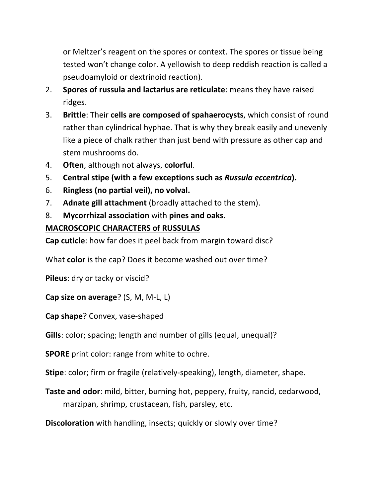or Meltzer's reagent on the spores or context. The spores or tissue being tested won't change color. A yellowish to deep reddish reaction is called a pseudoamyloid or dextrinoid reaction).

- 2. **Spores of russula and lactarius are reticulate**: means they have raised ridges.
- 3. **Brittle**: Their **cells are composed of spahaerocysts**, which consist of round rather than cylindrical hyphae. That is why they break easily and unevenly like a piece of chalk rather than just bend with pressure as other cap and stem mushrooms do.
- 4. **Often**, although not always, **colorful**.
- 5. **Central stipe (with a few exceptions such as** *Russula eccentrica***).**
- 6. **Ringless (no partial veil), no volval.**
- 7. **Adnate gill attachment** (broadly attached to the stem).
- 8. **Mycorrhizal association** with **pines and oaks.**

# **MACROSCOPIC CHARACTERS of RUSSULAS**

**Cap cuticle**: how far does it peel back from margin toward disc?

What **color** is the cap? Does it become washed out over time?

**Pileus**: dry or tacky or viscid?

**Cap size on average**? (S, M, M-L, L)

**Cap shape**? Convex, vase-shaped

**Gills**: color; spacing; length and number of gills (equal, unequal)?

**SPORE** print color: range from white to ochre.

**Stipe**: color; firm or fragile (relatively-speaking), length, diameter, shape.

**Taste and odor**: mild, bitter, burning hot, peppery, fruity, rancid, cedarwood, marzipan, shrimp, crustacean, fish, parsley, etc.

**Discoloration** with handling, insects; quickly or slowly over time?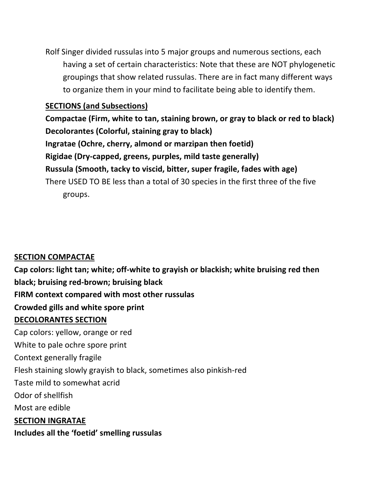Rolf Singer divided russulas into 5 major groups and numerous sections, each having a set of certain characteristics: Note that these are NOT phylogenetic groupings that show related russulas. There are in fact many different ways to organize them in your mind to facilitate being able to identify them.

### **SECTIONS (and Subsections)**

**Compactae (Firm, white to tan, staining brown, or gray to black or red to black) Decolorantes (Colorful, staining gray to black) Ingratae (Ochre, cherry, almond or marzipan then foetid) Rigidae (Dry-capped, greens, purples, mild taste generally) Russula (Smooth, tacky to viscid, bitter, super fragile, fades with age)** There USED TO BE less than a total of 30 species in the first three of the five groups.

# **SECTION COMPACTAE**

**Cap colors: light tan; white; off-white to grayish or blackish; white bruising red then black; bruising red-brown; bruising black FIRM context compared with most other russulas Crowded gills and white spore print DECOLORANTES SECTION** Cap colors: yellow, orange or red White to pale ochre spore print Context generally fragile Flesh staining slowly grayish to black, sometimes also pinkish-red Taste mild to somewhat acrid Odor of shellfish Most are edible **SECTION INGRATAE Includes all the 'foetid' smelling russulas**